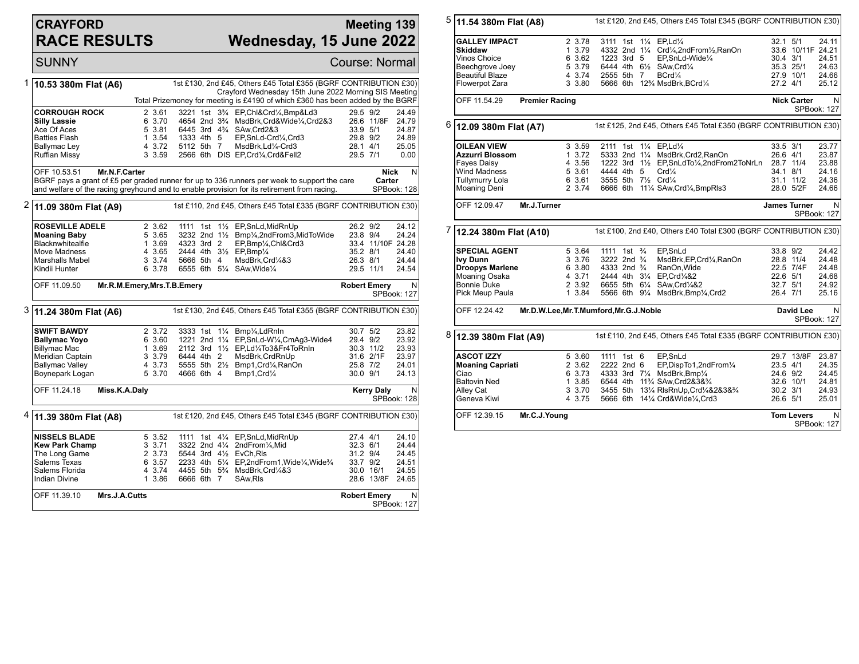## **CRAYFORD RACE RESULTS**

## **Meeting 139 Wednesday, 15 June 2022**

SUNNY Course: Normal 1 **10.53 380m Flat (A6)** 1st £130, 2nd £45, Others £45 Total £355 (BGRF CONTRIBUTION £30) Crayford Wednesday 15th June 2022 Morning SIS Meeting Total Prizemoney for meeting is £4190 of which £360 has been added by the BGRF **CORROUGH ROCK** 2 3.61 3221 1st 3<sup>3</sup>/<sub>4</sub> EP,Chl&Crd¼,Bmp&Ld3 29.5 9/2 24.49<br> **Silly Lassie** 8 3.70 4654 2nd 3<sup>3</sup>/<sub>4</sub> MsdBrk,Crd&Wide¼,Crd2&3 26.6 11/8F 24.79 **Silly Lassie** 6 3.70 4654 2nd 3<sup>3</sup>/<sub>4</sub> MsdBrk,Crd&Wide<sup>1</sup>/4,Crd2&3 26.6 11/8F 24.79 Ace Of Aces 5 3.81 6445 3rd 4<sup>3</sup>/<sub>4</sub> SAw,Crd2&3 33.9 5/1 24.87 Ace Of Aces 5 3.81 6445 3rd 4¼ SAw,Crd2&3 33.9 5/1 24.87<br>Batties Flash 1 3.54 1333 4th 5 EP,SnLd-Crd¼,Crd3 29.8 9/2 24.89 Batties Flash 1 3.54 1333 4th 5 EP,SnLd-Crd¼,Crd3 29.8 9/2 24.89 Ballymac Ley **4 3.72 5112 5th 7 MsdBrk,Ld1/<sub>4</sub>-Crd3** 28.1 4/1 25.05<br>Ruffian Missy 3 3.59 2566 6th DIS EP,Crd1/<sub>4</sub>,Crd&Fell2 29.5 7/1 0.00 2566 6th DIS EP,Crd<sup>1</sup>/<sub>4</sub>,Crd&Fell2 OFF 10.53.51 **Mr.N.F.Carter** BGRF pays a grant of £5 per graded runner for up to 336 runners per week to support the care and welfare of the racing greyhound and to enable provision for its retirement from racing. **Nick Carter** N SPBook: 128 2 **11.09 380m Flat (A9)** 1st £110, 2nd £45, Others £45 Total £335 (BGRF CONTRIBUTION £30) **ROSEVILLE ADELE** 2 3.62 1111 1st 1<sup>1</sup>/<sub>2</sub> EP, SnLd, MidRnUp 26.2 9/2 24.12<br>**Moaning Baby** 5 3.65 3232 2nd 1<sup>1</sup>/<sub>2</sub> Bmp<sup>1</sup>/<sub>4</sub>, 2nd From 3, MidToWide 23.8 9/4 24.24 **Moaning Baby** 5 3.65 3232 2nd 1<sup>1</sup>/<sub>2</sub> Bmp<sup>1</sup>/<sub>2</sub>,2ndFrom3,MidToWide 23.8 9/4 24.24<br>Blacknwhitealfie 1 3.69 4323 3rd 2 EP.Bmp<sup>1</sup>/<sub>4</sub>,Chl&Crd3 33.4 11/10F 24.28 Blacknwhitealfie 1 3.69 4323 3rd 2 EP,Bmp¼,Chl&Crd3 33.4 11/1<br>Move Madness 4 3.65 2444 4th 31/2 EP,Bmp¼ Move Madness 4 3.65 2444 4th 3½ EP,Bmp¼ 35.2 8/1 24.40 Marshalls Mabel 3 3.74 5666 5th 4 MsdBrk,Crd¼&3 26.3 8/1 24.44 6555 6th 5 $\frac{1}{4}$  SAw, Wide<sup>1</sup>/<sub>4</sub> OFF 11.09.50 **Mr.R.M.Emery,Mrs.T.B.Emery Robert Emery** N SPBook: 127 3 **11.24 380m Flat (A6)** 1st £130, 2nd £45, Others £45 Total £355 (BGRF CONTRIBUTION £30) **SWIFT BAWDY** 2 3.72 3333 1st 11/<sub>4</sub> Bmp<sup>y</sup>4,LdRnin 30.7 5/2 23.82<br> **Ballymac Yoyo** 6 3.60 1221 2nd 11/<sub>4</sub> EP,SnLd-W1/4,CmAq3-Wide4 29.4 9/2 23.92 **Ballymac Yoyo** 6 3.60 1221 2nd 1¼ EP,SnLd-W¼,CmAg3-Wide4 29.4 9/2 23.92 Billymac Mac 1 3.69 2112 3rd 1½ EP,Ld¼To3&Fr4ToRnIn 30.3 11/2 23.93 Meridian Captain 3 3.79 6444 4th 2 MsdBrk,CrdRnUp 31.6 2/1F 23.97 Ballymac Valley 4 3.73 5555 5th 2½ Bmp1,Crd¼,RanOn 25.8 7/2 24.01 Boynepark Logan OFF 11.24.18 **Miss.K.A.Daly Kerry Daly** N SPBook: 128 4 **11.39 380m Flat (A8)** 1st £120, 2nd £45, Others £45 Total £345 (BGRF CONTRIBUTION £30) **NISSELS BLADE** 5 3.52 1111 1st 41/<sub>4</sub> EP, SnLd, MidRnUp 27.4 4/1 24.10<br> **Kew Park Champ** 3 3.71 3322 2nd 41/<sub>4</sub> 2nd From 1/4. Mid 32.3 6/1 24.44 **Kew Park Champ** 3 3.71 3322 2nd 4¼ 2ndFrom¼,Mid 32.3 6/1 24.44<br>The Long Game 2 3.73 5544 3rd 4½ EvCh.Ris 31.2 9/4 24.45 The Long Game  $\begin{array}{l} 2 \ 3.73 \ 5544 \ 3rd \ 4\frac{1}{2} \ \text{EvCh,Rls} \end{array}$  31.2 9/4 24.45<br>Salems Texas 6 3.57 2233 4th 51/4 EP.2ndFrom1.Wide1/4.Wide3/4 33.7 9/2 24.51 Salems Texas 6 3.57 2233 4th 5¼ EP,2ndFrom1,Wide¼,Wide¾ 33.7 9/2 24.51 Salems Florida 4 3.74 4455 5th 5<sup>3</sup>/ MsdBrk,Crd¼&3 30.0 16/1 24.55<br>Indian Divine 1 3.86 6666 6th 7 SAw.Rls 28.6 13/8F 24.65 6666 6th 7 SAw, Rls OFF 11.39.10 **Mrs.J.A.Cutts Robert Emery** N SPBook: 127

5 **11.54 380m Flat (A8)** 1st £120, 2nd £45, Others £45 Total £345 (BGRF CONTRIBUTION £30) **GALLEY IMPACT** 2 3.78 3111 1st 11/4 EP,Ld<sup>1</sup>/4 32.1 5/1 24.11<br>Skiddaw 1 3.79 4332 2nd 11/4 Crd1/4,2ndFrom1/<sub>2</sub>,RanOn 33.6 10/11F 24.21 **Skiddaw** 1 3.79 4332 2nd 1¼ Crd¼,2ndFrom½,RanOn 33.6 10/11F 24.21 Vinos Choice 6 3.62 1223 3rd 5 EP,SnLd-Wide¼ 30.4 3/1 24.51 Beechgrove Joey 5 3.79 6444 4th 6½ SAw,Crd¼ 35.3 25/1 24.63 Beautiful Blaze 4 3.74 2555 5th 7 BCrd¼ 27.9 10/1 24.66 5666 6th 12<sup>3</sup>/<sub>4</sub> MsdBrk, BCrd<sup>1</sup>/<sub>4</sub> OFF 11.54.29 **Premier Racing Nick Carter** N SPBook: 127 6 **12.09 380m Flat (A7)** 1st £125, 2nd £45, Others £45 Total £350 (BGRF CONTRIBUTION £30) **OILEAN VIEW** 3 3.59 2111 1st 1<sup>1</sup>/<sub>4</sub> EP,Ld<sup>1</sup>/<sub>4</sub> 33.5 3/1 23.77<br>**Azzurri Blossom** 1 3.72 5333 2nd 1<sup>1</sup>/<sub>4</sub> MsdBrk,Crd2,RanOn 26.6 4/1 23.87 **Azzurri Blossom** 1 3.72 5333 2nd 1¼ MsdBrk,Crd2,RanOn 26.6 4/1 23.87 Fayes Daisy 4 3.56 1222 3rd 1½ EP,SnLdTo¼,2ndFrom2ToNrLn 28.7 11/4 23.88 Wind Madness 5 3.61 4444 4th 5 Crd1/4 34.1 8/1 24.16<br>
Tullymurry Lola 6 3.61 3555 5th 71/2 Crd1/4 31.1 11/2 24.36 Tullymurry Lola 6 3.61 3555 5th 7½ Crd¼ 31.1 11/2 24.36 6666 6th 11¼ SAw,Crd¼,BmpRls3 OFF 12.09.47 **Mr.J.Turner James Turner** N SPBook: 127 7 **12.24 380m Flat (A10)** 1st £100, 2nd £40, Others £40 Total £300 (BGRF CONTRIBUTION £30) **SPECIAL AGENT** 5 3.64 1111 1st <sup>3</sup> EP, SnLd 33.8 9/2 24.42<br> **Ivy Dunn** 3 3.76 3222 2nd <sup>3</sup>/<sub>4</sub> MsdBrk, EP, Crd<sup>1</sup>/<sub>4</sub>, RanOn 28.8 11/4 24.48 **Ivy Dunn** 3 3.76 3222 2nd ¾ MsdBrk,EP,Crd¼,RanOn 28.8 11/4 24.48 **Droopys Marlene** 6 3.80 4333 2nd <sup>3</sup>/<sub>4</sub> RanOn, Wide 22.5 7/4F 24.48<br>Moaning Osaka 4 3.71 2444 4th 3<sup>1</sup>/<sub>4</sub> EP, Crd<sup>1</sup>/<sub>4</sub>&2 22.6 5/1 24.68 Moaning Osaka 4 3.71 2444 4th 3¼ EP,Crd¼&2 22.6 5/1 24.68 Bonnie Duke 2 3.92 6655 5th 6¼ SAw,Crd¼&2 32.7 5/1 24.92  $\frac{91}{2566}$  6th  $\frac{91}{4}$  MsdBrk,Bmp<sup>1</sup>/<sub>4</sub>,Crd2 OFF 12.24.42 **Mr.D.W.Lee,Mr.T.Mumford,Mr.G.J.Noble David Lee** N SPBook: 127 8 **12.39 380m Flat (A9)** 1st £110, 2nd £45, Others £45 Total £335 (BGRF CONTRIBUTION £30) **ASCOT IZZY** 5 3.60 1111 1st 6 EP,SnLd 29.7 13/8F 23.87 **Moaning Capriati** 2 3.62 2222 2nd 6 EP,DispTo1,2ndFrom<sup>1</sup>/<sub>4</sub> 23.5 4/1 24.35<br>Ciao 24.6 9/2 24.45 Ciao 6 3.73 4333 3rd 7¼ MsdBrk,Bmp¼ 24.6 9/2 24.45 Baltovin Ned 1 3.85 6544 4th 11¾ SAw,Crd2&3&¾ 32.6 10/1 24.81<br>Alley Cat 3 3.70 3455 5th 13¼ RisRnUp,Crd¼&2&3&¾ 30.2 3/1 24.93 Alley Cat 3 3 3.70 3455 5th 131/4 RIsRnUp,Crd1/4&2&3&34 30.2 3/1 24.93<br>
Geneva Kiwi 4 3.75 5666 6th 141/4 Crd&Wide1/4.Crd3 26.6 5/1 25.01 4 3.75 5666 6th 141/4 Crd&Wide1/4,Crd3 OFF 12.39.15 **Mr.C.J.Young Tom Levers** N SPBook: 127